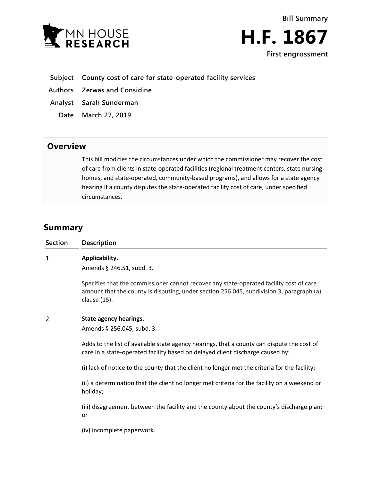



- **Subject County cost of care for state-operated facility services**
- **Authors Zerwas and Considine**
- **Analyst Sarah Sunderman**
	- **Date March 27, 2019**

## **Overview**

This bill modifies the circumstances under which the commissioner may recover the cost of care from clients in state-operated facilities (regional treatment centers, state nursing homes, and state-operated, community-based programs), and allows for a state agency hearing if a county disputes the state-operated facility cost of care, under specified circumstances.

## **Summary**

| Description                                                                                                                                                                                             |
|---------------------------------------------------------------------------------------------------------------------------------------------------------------------------------------------------------|
| Applicability.<br>Amends § 246.51, subd. 3.                                                                                                                                                             |
| Specifies that the commissioner cannot recover any state-operated facility cost of care<br>amount that the county is disputing, under section 256.045, subdivision 3, paragraph (a),<br>clause $(15)$ . |
| State agency hearings.<br>Amends § 256.045, subd. 3.                                                                                                                                                    |
| Adds to the list of available state agency hearings, that a county can dispute the cost of<br>care in a state-operated facility based on delayed client discharge caused by:                            |
| (i) lack of notice to the county that the client no longer met the criteria for the facility;                                                                                                           |
| (ii) a determination that the client no longer met criteria for the facility on a weekend or<br>holiday;                                                                                                |
| (iii) disagreement between the facility and the county about the county's discharge plan;<br>or                                                                                                         |
| (iv) incomplete paperwork.                                                                                                                                                                              |
|                                                                                                                                                                                                         |
|                                                                                                                                                                                                         |